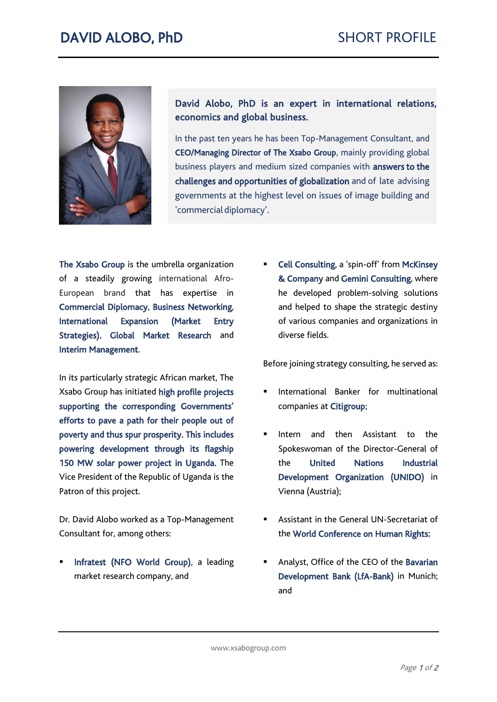

David Alobo, PhD is an expert in international relations, economics and global business.

In the past ten years he has been Top-Management Consultant, and CEO/Managing Director of The Xsabo Group, mainly providing global business players and medium sized companies with **answers to the** challenges and opportunities of globalization and of late advising governments at the highest level on issues of image building and 'commercial diplomacy'.

The Xsabo Group is the umbrella organization of a steadily growing international Afro-European brand that has expertise in Commercial Diplomacy, Business Networking, International Expansion (Market Entry Strategies), Global Market Research and Interim Management.

In its particularly strategic African market, The Xsabo Group has initiated high profile projects supporting the corresponding Governments' efforts to pave a path for their people out of poverty and thus spur prosperity. This includes powering development through its flagship 150 MW solar power project in Uganda. The Vice President of the Republic of Uganda is the Patron of this project.

Dr. David Alobo worked as a Top-Management Consultant for, among others:

Infratest (NFO World Group), a leading market research company, and

Cell Consulting, a 'spin-off' from McKinsey & Company and Gemini Consulting, where he developed problem-solving solutions and helped to shape the strategic destiny of various companies and organizations in diverse fields.

Before joining strategy consulting, he served as:

- International Banker for multinational companies at Citigroup;
- Intern and then Assistant to the Spokeswoman of the Director-General of the United Nations Industrial Development Organization (UNIDO) in Vienna (Austria);
- Assistant in the General UN-Secretariat of the World Conference on Human Rights;
- Analyst, Office of the CEO of the Bavarian Development Bank (LfA-Bank) in Munich; and